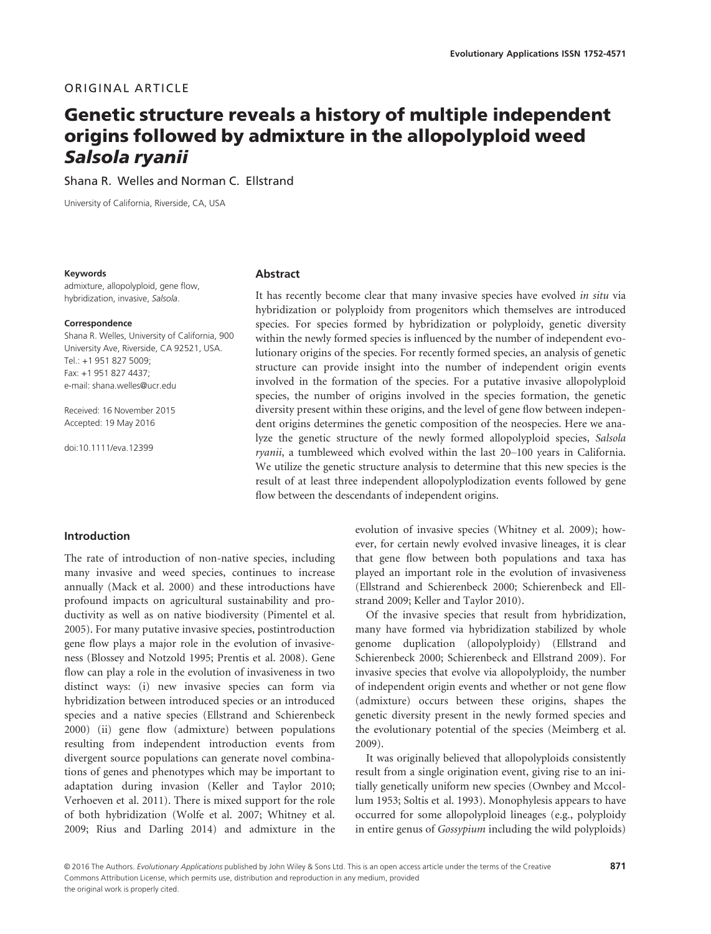# ORIGINAL ARTICLE

# Genetic structure reveals a history of multiple independent origins followed by admixture in the allopolyploid weed Salsola ryanii

Shana R. Welles and Norman C. Ellstrand

University of California, Riverside, CA, USA

#### Keywords

admixture, allopolyploid, gene flow, hybridization, invasive, Salsola.

#### Correspondence

Shana R. Welles, University of California, 900 University Ave, Riverside, CA 92521, USA. Tel.: +1 951 827 5009; Fax: +1 951 827 4437; e-mail: shana.welles@ucr.edu

Received: 16 November 2015 Accepted: 19 May 2016

doi:10.1111/eva.12399

#### Abstract

It has recently become clear that many invasive species have evolved in situ via hybridization or polyploidy from progenitors which themselves are introduced species. For species formed by hybridization or polyploidy, genetic diversity within the newly formed species is influenced by the number of independent evolutionary origins of the species. For recently formed species, an analysis of genetic structure can provide insight into the number of independent origin events involved in the formation of the species. For a putative invasive allopolyploid species, the number of origins involved in the species formation, the genetic diversity present within these origins, and the level of gene flow between independent origins determines the genetic composition of the neospecies. Here we analyze the genetic structure of the newly formed allopolyploid species, Salsola ryanii, a tumbleweed which evolved within the last 20-100 years in California. We utilize the genetic structure analysis to determine that this new species is the result of at least three independent allopolyplodization events followed by gene flow between the descendants of independent origins.

## Introduction

The rate of introduction of non-native species, including many invasive and weed species, continues to increase annually (Mack et al. 2000) and these introductions have profound impacts on agricultural sustainability and productivity as well as on native biodiversity (Pimentel et al. 2005). For many putative invasive species, postintroduction gene flow plays a major role in the evolution of invasiveness (Blossey and Notzold 1995; Prentis et al. 2008). Gene flow can play a role in the evolution of invasiveness in two distinct ways: (i) new invasive species can form via hybridization between introduced species or an introduced species and a native species (Ellstrand and Schierenbeck 2000) (ii) gene flow (admixture) between populations resulting from independent introduction events from divergent source populations can generate novel combinations of genes and phenotypes which may be important to adaptation during invasion (Keller and Taylor 2010; Verhoeven et al. 2011). There is mixed support for the role of both hybridization (Wolfe et al. 2007; Whitney et al. 2009; Rius and Darling 2014) and admixture in the evolution of invasive species (Whitney et al. 2009); however, for certain newly evolved invasive lineages, it is clear that gene flow between both populations and taxa has played an important role in the evolution of invasiveness (Ellstrand and Schierenbeck 2000; Schierenbeck and Ellstrand 2009; Keller and Taylor 2010).

Of the invasive species that result from hybridization, many have formed via hybridization stabilized by whole genome duplication (allopolyploidy) (Ellstrand and Schierenbeck 2000; Schierenbeck and Ellstrand 2009). For invasive species that evolve via allopolyploidy, the number of independent origin events and whether or not gene flow (admixture) occurs between these origins, shapes the genetic diversity present in the newly formed species and the evolutionary potential of the species (Meimberg et al. 2009).

It was originally believed that allopolyploids consistently result from a single origination event, giving rise to an initially genetically uniform new species (Ownbey and Mccollum 1953; Soltis et al. 1993). Monophylesis appears to have occurred for some allopolyploid lineages (e.g., polyploidy in entire genus of Gossypium including the wild polyploids)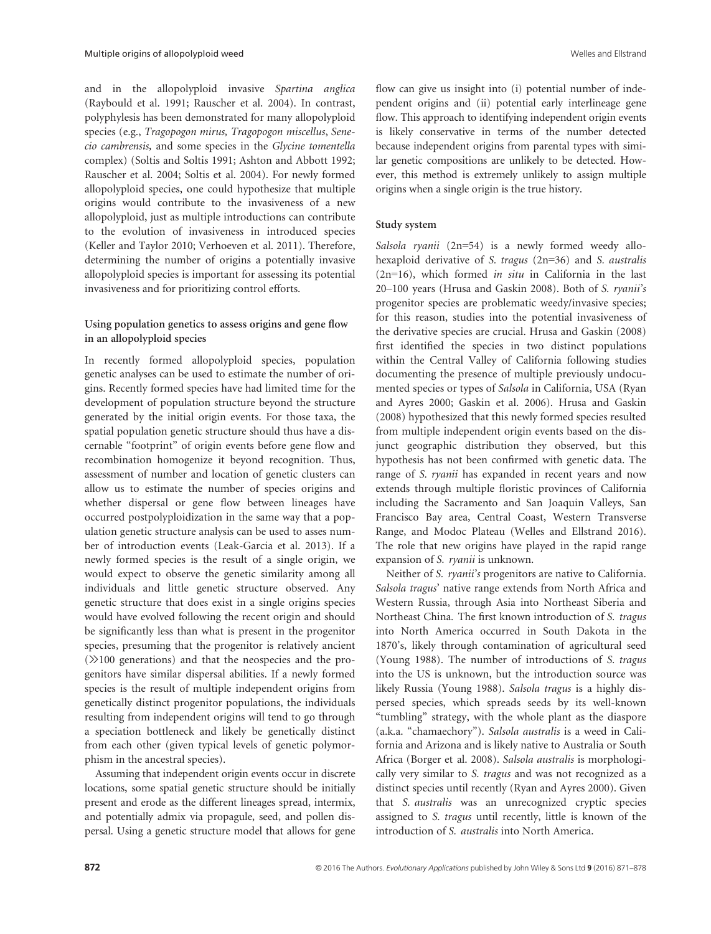and in the allopolyploid invasive Spartina anglica (Raybould et al. 1991; Rauscher et al. 2004). In contrast, polyphylesis has been demonstrated for many allopolyploid species (e.g., Tragopogon mirus, Tragopogon miscellus, Senecio cambrensis, and some species in the Glycine tomentella complex) (Soltis and Soltis 1991; Ashton and Abbott 1992; Rauscher et al. 2004; Soltis et al. 2004). For newly formed allopolyploid species, one could hypothesize that multiple origins would contribute to the invasiveness of a new allopolyploid, just as multiple introductions can contribute to the evolution of invasiveness in introduced species (Keller and Taylor 2010; Verhoeven et al. 2011). Therefore, determining the number of origins a potentially invasive allopolyploid species is important for assessing its potential invasiveness and for prioritizing control efforts.

# Using population genetics to assess origins and gene flow in an allopolyploid species

In recently formed allopolyploid species, population genetic analyses can be used to estimate the number of origins. Recently formed species have had limited time for the development of population structure beyond the structure generated by the initial origin events. For those taxa, the spatial population genetic structure should thus have a discernable "footprint" of origin events before gene flow and recombination homogenize it beyond recognition. Thus, assessment of number and location of genetic clusters can allow us to estimate the number of species origins and whether dispersal or gene flow between lineages have occurred postpolyploidization in the same way that a population genetic structure analysis can be used to asses number of introduction events (Leak-Garcia et al. 2013). If a newly formed species is the result of a single origin, we would expect to observe the genetic similarity among all individuals and little genetic structure observed. Any genetic structure that does exist in a single origins species would have evolved following the recent origin and should be significantly less than what is present in the progenitor species, presuming that the progenitor is relatively ancient  $(\gg)$ 100 generations) and that the neospecies and the progenitors have similar dispersal abilities. If a newly formed species is the result of multiple independent origins from genetically distinct progenitor populations, the individuals resulting from independent origins will tend to go through a speciation bottleneck and likely be genetically distinct from each other (given typical levels of genetic polymorphism in the ancestral species).

Assuming that independent origin events occur in discrete locations, some spatial genetic structure should be initially present and erode as the different lineages spread, intermix, and potentially admix via propagule, seed, and pollen dispersal. Using a genetic structure model that allows for gene

flow can give us insight into (i) potential number of independent origins and (ii) potential early interlineage gene flow. This approach to identifying independent origin events is likely conservative in terms of the number detected because independent origins from parental types with similar genetic compositions are unlikely to be detected. However, this method is extremely unlikely to assign multiple origins when a single origin is the true history.

#### Study system

Salsola ryanii (2n=54) is a newly formed weedy allohexaploid derivative of S. tragus (2n=36) and S. australis  $(2n=16)$ , which formed *in situ* in California in the last 20–100 years (Hrusa and Gaskin 2008). Both of S. ryanii's progenitor species are problematic weedy/invasive species; for this reason, studies into the potential invasiveness of the derivative species are crucial. Hrusa and Gaskin (2008) first identified the species in two distinct populations within the Central Valley of California following studies documenting the presence of multiple previously undocumented species or types of Salsola in California, USA (Ryan and Ayres 2000; Gaskin et al. 2006). Hrusa and Gaskin (2008) hypothesized that this newly formed species resulted from multiple independent origin events based on the disjunct geographic distribution they observed, but this hypothesis has not been confirmed with genetic data. The range of S. ryanii has expanded in recent years and now extends through multiple floristic provinces of California including the Sacramento and San Joaquin Valleys, San Francisco Bay area, Central Coast, Western Transverse Range, and Modoc Plateau (Welles and Ellstrand 2016). The role that new origins have played in the rapid range expansion of S. ryanii is unknown.

Neither of S. ryanii's progenitors are native to California. Salsola tragus' native range extends from North Africa and Western Russia, through Asia into Northeast Siberia and Northeast China. The first known introduction of S. tragus into North America occurred in South Dakota in the 1870's, likely through contamination of agricultural seed (Young 1988). The number of introductions of S. tragus into the US is unknown, but the introduction source was likely Russia (Young 1988). Salsola tragus is a highly dispersed species, which spreads seeds by its well-known "tumbling" strategy, with the whole plant as the diaspore (a.k.a. "chamaechory"). Salsola australis is a weed in California and Arizona and is likely native to Australia or South Africa (Borger et al. 2008). Salsola australis is morphologically very similar to S. tragus and was not recognized as a distinct species until recently (Ryan and Ayres 2000). Given that S. australis was an unrecognized cryptic species assigned to S. tragus until recently, little is known of the introduction of S. australis into North America.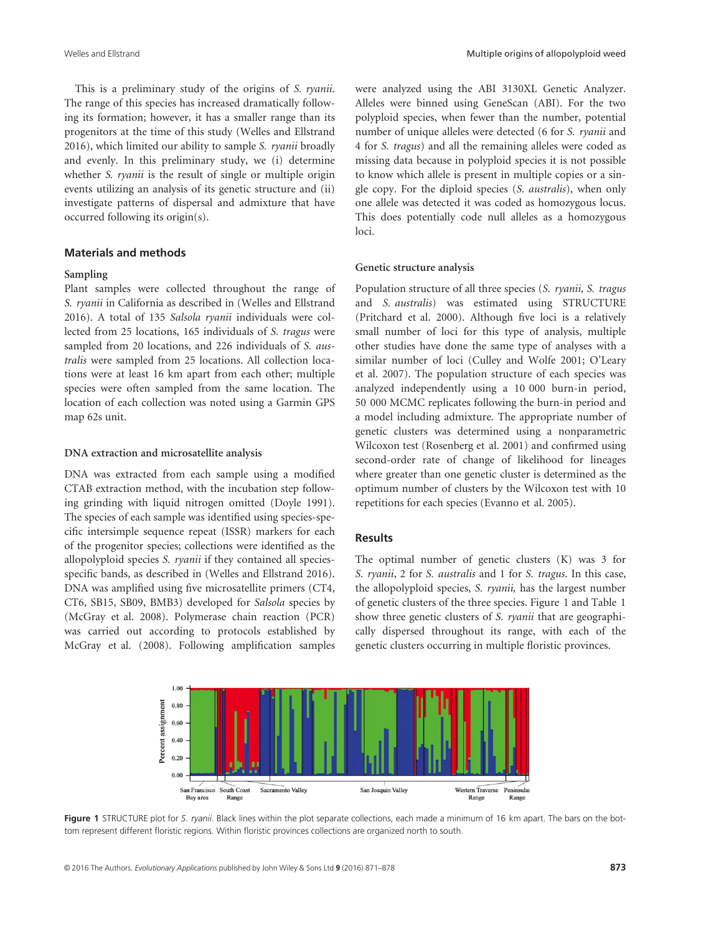This is a preliminary study of the origins of S. ryanii. The range of this species has increased dramatically following its formation; however, it has a smaller range than its progenitors at the time of this study (Welles and Ellstrand 2016), which limited our ability to sample S. ryanii broadly and evenly. In this preliminary study, we (i) determine whether *S. ryanii* is the result of single or multiple origin events utilizing an analysis of its genetic structure and (ii) investigate patterns of dispersal and admixture that have occurred following its origin(s).

## Materials and methods

#### Sampling

Plant samples were collected throughout the range of S. ryanii in California as described in (Welles and Ellstrand 2016). A total of 135 Salsola ryanii individuals were collected from 25 locations, 165 individuals of S. tragus were sampled from 20 locations, and 226 individuals of S. australis were sampled from 25 locations. All collection locations were at least 16 km apart from each other; multiple species were often sampled from the same location. The location of each collection was noted using a Garmin GPS map 62s unit.

#### DNA extraction and microsatellite analysis

DNA was extracted from each sample using a modified CTAB extraction method, with the incubation step following grinding with liquid nitrogen omitted (Doyle 1991). The species of each sample was identified using species-specific intersimple sequence repeat (ISSR) markers for each of the progenitor species; collections were identified as the allopolyploid species S. ryanii if they contained all speciesspecific bands, as described in (Welles and Ellstrand 2016). DNA was amplified using five microsatellite primers (CT4, CT6, SB15, SB09, BMB3) developed for Salsola species by (McGray et al. 2008). Polymerase chain reaction (PCR) was carried out according to protocols established by McGray et al. (2008). Following amplification samples were analyzed using the ABI 3130XL Genetic Analyzer. Alleles were binned using GeneScan (ABI). For the two polyploid species, when fewer than the number, potential number of unique alleles were detected (6 for S. ryanii and 4 for S. tragus) and all the remaining alleles were coded as missing data because in polyploid species it is not possible to know which allele is present in multiple copies or a single copy. For the diploid species (S. australis), when only one allele was detected it was coded as homozygous locus. This does potentially code null alleles as a homozygous loci.

#### Genetic structure analysis

Population structure of all three species (S. ryanii, S. tragus and S. australis) was estimated using STRUCTURE (Pritchard et al. 2000). Although five loci is a relatively small number of loci for this type of analysis, multiple other studies have done the same type of analyses with a similar number of loci (Culley and Wolfe 2001; O'Leary et al. 2007). The population structure of each species was analyzed independently using a 10 000 burn-in period, 50 000 MCMC replicates following the burn-in period and a model including admixture. The appropriate number of genetic clusters was determined using a nonparametric Wilcoxon test (Rosenberg et al. 2001) and confirmed using second-order rate of change of likelihood for lineages where greater than one genetic cluster is determined as the optimum number of clusters by the Wilcoxon test with 10 repetitions for each species (Evanno et al. 2005).

## Results

The optimal number of genetic clusters (K) was 3 for S. ryanii, 2 for S. australis and 1 for S. tragus. In this case, the allopolyploid species, S. ryanii, has the largest number of genetic clusters of the three species. Figure 1 and Table 1 show three genetic clusters of S. ryanii that are geographically dispersed throughout its range, with each of the genetic clusters occurring in multiple floristic provinces.



Figure 1 STRUCTURE plot for S. ryanii. Black lines within the plot separate collections, each made a minimum of 16 km apart. The bars on the bottom represent different floristic regions. Within floristic provinces collections are organized north to south.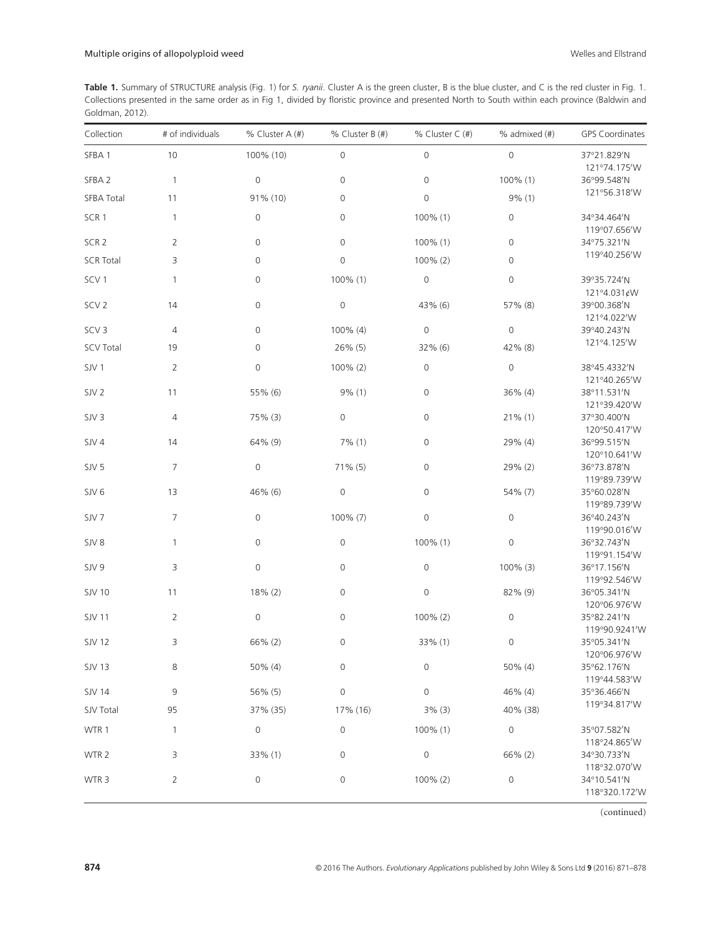Table 1. Summary of STRUCTURE analysis (Fig. 1) for S. ryanii. Cluster A is the green cluster, B is the blue cluster, and C is the red cluster in Fig. 1. Collections presented in the same order as in Fig 1, divided by floristic province and presented North to South within each province (Baldwin and Goldman, 2012).

| Collection        | # of individuals | % Cluster $A(H)$    | % Cluster B (#)     | % Cluster C (#)     | $%$ admixed $(H)$   | <b>GPS Coordinates</b>       |
|-------------------|------------------|---------------------|---------------------|---------------------|---------------------|------------------------------|
| SFBA 1            | 10               | 100% (10)           | $\mathbf 0$         | $\mathbf 0$         | $\mathsf{O}\xspace$ | 37°21.829'N                  |
| SFBA <sub>2</sub> | $\mathbf{1}$     | $\mathbf 0$         | $\mathbf 0$         | $\mathbf 0$         | 100% (1)            | 121°74.175'W<br>36°99.548'N  |
| <b>SFBA Total</b> | 11               | 91% (10)            | $\mathbf 0$         | $\mathsf{O}\xspace$ | 9% (1)              | 121°56.318'W                 |
| SCR <sub>1</sub>  | $\mathbf{1}$     | $\mathsf{O}$        | $\mathbf 0$         | 100% (1)            | $\mathbf 0$         | 34°34.464'N<br>119°07.656'W  |
| SCR <sub>2</sub>  | $\overline{2}$   | $\mathsf{O}\xspace$ | $\mathsf{O}\xspace$ | 100% (1)            | $\mathsf{O}\xspace$ | 34°75.321′N                  |
| <b>SCR Total</b>  | 3                | $\mathbf{0}$        | $\mathbf 0$         | 100% (2)            | $\mathbf{0}$        | 119°40.256'W                 |
| SCV <sub>1</sub>  | $\mathbf{1}$     | $\mathsf{O}\xspace$ | 100% (1)            | $\mathsf{O}\xspace$ | $\mathbf{0}$        | 39°35.724'N<br>121°4.031¢W   |
| SCV <sub>2</sub>  | 14               | $\mathsf{O}\xspace$ | $\mathbf 0$         | 43% (6)             | 57% (8)             | 39°00.368'N<br>121°4.022'W   |
| SCV <sub>3</sub>  | $\overline{4}$   | $\mathbf 0$         | 100% (4)            | $\mathbf 0$         | $\mathsf{O}\xspace$ | 39°40.243'N                  |
| <b>SCV Total</b>  | 19               | $\mathbf 0$         | 26% (5)             | 32% (6)             | 42% (8)             | 121°4.125'W                  |
| SJV1              | $\overline{2}$   | $\mathsf{O}\xspace$ | 100% (2)            | $\mathbf 0$         | $\mathbf{0}$        | 38°45.4332'N<br>121°40.265'W |
| SJV <sub>2</sub>  | 11               | 55% (6)             | $9\%$ (1)           | $\mathsf{O}\xspace$ | $36\%$ (4)          | 38°11.531'N<br>121°39.420'W  |
| SJV <sub>3</sub>  | $\overline{4}$   | 75% (3)             | $\mathbf 0$         | $\overline{0}$      | $21\%$ (1)          | 37°30.400'N<br>120°50.417'W  |
| SJV4              | 14               | 64% (9)             | 7% (1)              | $\mathsf{O}\xspace$ | 29% (4)             | 36°99.515'N<br>120°10.641'W  |
| SJV <sub>5</sub>  | $\overline{7}$   | $\mathbf 0$         | $71\%$ (5)          | $\mathsf{O}\xspace$ | 29% (2)             | 36°73.878'N<br>119°89.739'W  |
| SJV <sub>6</sub>  | 13               | 46% (6)             | $\mathbf 0$         | $\mathsf{O}\xspace$ | 54% (7)             | 35°60.028'N<br>119°89.739'W  |
| SJV <sub>7</sub>  | 7                | $\mathbf 0$         | 100% (7)            | $\mathsf{O}\xspace$ | $\mathbf{0}$        | 36°40.243'N<br>119°90.016'W  |
| SJV8              | $\mathbf{1}$     | $\mathsf{O}\xspace$ | $\mathsf{O}\xspace$ | 100% (1)            | 0                   | 36°32.743'N<br>119°91.154'W  |
| SJV 9             | 3                | $\mathbf 0$         | $\mathbf 0$         | $\mathbf 0$         | 100% (3)            | 36°17.156'N<br>119°92.546'W  |
| <b>SJV 10</b>     | 11               | 18% (2)             | $\mathbf 0$         | $\mathsf{O}\xspace$ | 82% (9)             | 36°05.341'N<br>120°06.976'W  |
| <b>SJV 11</b>     | $\overline{2}$   | $\mathbf 0$         | $\mathbf 0$         | 100% (2)            | $\mathbf 0$         | 35°82.241'N<br>119°90.9241'W |
| <b>SJV 12</b>     | 3                | 66% (2)             | $\mathbf 0$         | 33% (1)             | 0                   | 35°05.341'N<br>120°06.976'W  |
| <b>SJV 13</b>     | 8                | 50% (4)             | 0                   | 0                   | 50% (4)             | 35°62.176′N<br>119°44.583'W  |
| <b>SJV 14</b>     | 9                | 56% (5)             | $\mathsf{O}\xspace$ | $\mathsf{O}\xspace$ | 46% (4)             | 35°36.466'N                  |
| SJV Total         | 95               | 37% (35)            | 17% (16)            | 3% (3)              | 40% (38)            | 119°34.817'W                 |
| WTR 1             | $\mathbf{1}$     | $\mathsf{O}\xspace$ | $\mathsf{O}\xspace$ | 100% (1)            | $\mathsf{O}$        | 35°07.582'N<br>118°24.865'W  |
| WTR 2             | 3                | 33% (1)             | $\mathsf{O}\xspace$ | $\mathsf{O}\xspace$ | 66% (2)             | 34°30.733'N<br>118°32.070'W  |
| WTR <sub>3</sub>  | $\overline{2}$   | $\mathsf{O}\xspace$ | $\mathsf{O}\xspace$ | 100% (2)            | 0                   | 34°10.541'N<br>118°320.172'W |

(continued)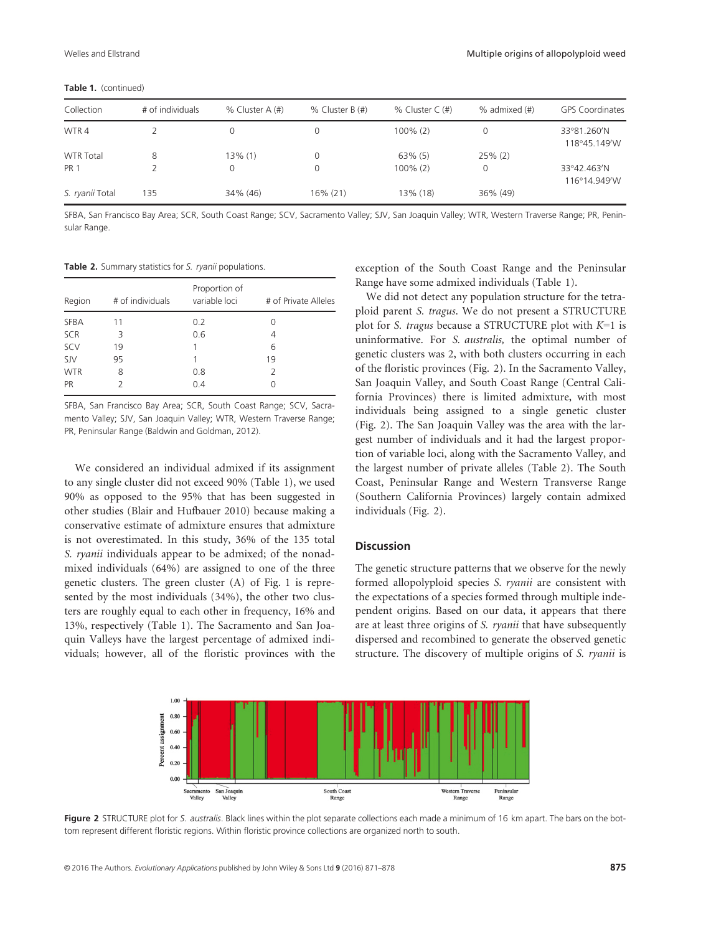| Collection       | # of individuals | $%$ Cluster A $(#)$ | % Cluster B (#) | % Cluster $C$ (#) | $%$ admixed $(\#)$ | <b>GPS Coordinates</b>      |
|------------------|------------------|---------------------|-----------------|-------------------|--------------------|-----------------------------|
| WTR4             |                  | 0                   |                 | $100\%$ (2)       | 0                  | 33°81.260'N<br>118°45.149'W |
| <b>WTR Total</b> | 8                | 13% (1)             |                 | $63\%$ (5)        | $25\%$ (2)         |                             |
| <b>PR 1</b>      |                  | 0                   |                 | $100\%$ (2)       | 0                  | 33°42.463'N<br>116°14.949'W |
| S. ryanii Total  | 135              | 34% (46)            | 16% (21)        | 13% (18)          | 36% (49)           |                             |

Table 1. (continued)

SFBA, San Francisco Bay Area; SCR, South Coast Range; SCV, Sacramento Valley; SJV, San Joaquin Valley; WTR, Western Traverse Range; PR, Peninsular Range.

Table 2. Summary statistics for S. ryanii populations.

| Region      | # of individuals | Proportion of<br>variable loci | # of Private Alleles |
|-------------|------------------|--------------------------------|----------------------|
| <b>SFBA</b> | 11               | 0.2                            | 0                    |
| <b>SCR</b>  | 3                | 0.6                            | 4                    |
| SCV         | 19               | 1                              | 6                    |
| <b>SJV</b>  | 95               | 1                              | 19                   |
| <b>WTR</b>  | 8                | 0.8                            | 2                    |
| PR          |                  | 0.4                            |                      |
|             |                  |                                |                      |

SFBA, San Francisco Bay Area; SCR, South Coast Range; SCV, Sacramento Valley; SJV, San Joaquin Valley; WTR, Western Traverse Range; PR, Peninsular Range (Baldwin and Goldman, 2012).

We considered an individual admixed if its assignment to any single cluster did not exceed 90% (Table 1), we used 90% as opposed to the 95% that has been suggested in other studies (Blair and Hufbauer 2010) because making a conservative estimate of admixture ensures that admixture is not overestimated. In this study, 36% of the 135 total S. *ryanii* individuals appear to be admixed; of the nonadmixed individuals (64%) are assigned to one of the three genetic clusters. The green cluster (A) of Fig. 1 is represented by the most individuals (34%), the other two clusters are roughly equal to each other in frequency, 16% and 13%, respectively (Table 1). The Sacramento and San Joaquin Valleys have the largest percentage of admixed individuals; however, all of the floristic provinces with the

exception of the South Coast Range and the Peninsular Range have some admixed individuals (Table 1).

We did not detect any population structure for the tetraploid parent S. tragus. We do not present a STRUCTURE plot for S. tragus because a STRUCTURE plot with  $K=1$  is uninformative. For S. australis, the optimal number of genetic clusters was 2, with both clusters occurring in each of the floristic provinces (Fig. 2). In the Sacramento Valley, San Joaquin Valley, and South Coast Range (Central California Provinces) there is limited admixture, with most individuals being assigned to a single genetic cluster (Fig. 2). The San Joaquin Valley was the area with the largest number of individuals and it had the largest proportion of variable loci, along with the Sacramento Valley, and the largest number of private alleles (Table 2). The South Coast, Peninsular Range and Western Transverse Range (Southern California Provinces) largely contain admixed individuals (Fig. 2).

#### **Discussion**

The genetic structure patterns that we observe for the newly formed allopolyploid species S. ryanii are consistent with the expectations of a species formed through multiple independent origins. Based on our data, it appears that there are at least three origins of S. ryanii that have subsequently dispersed and recombined to generate the observed genetic structure. The discovery of multiple origins of S. ryanii is



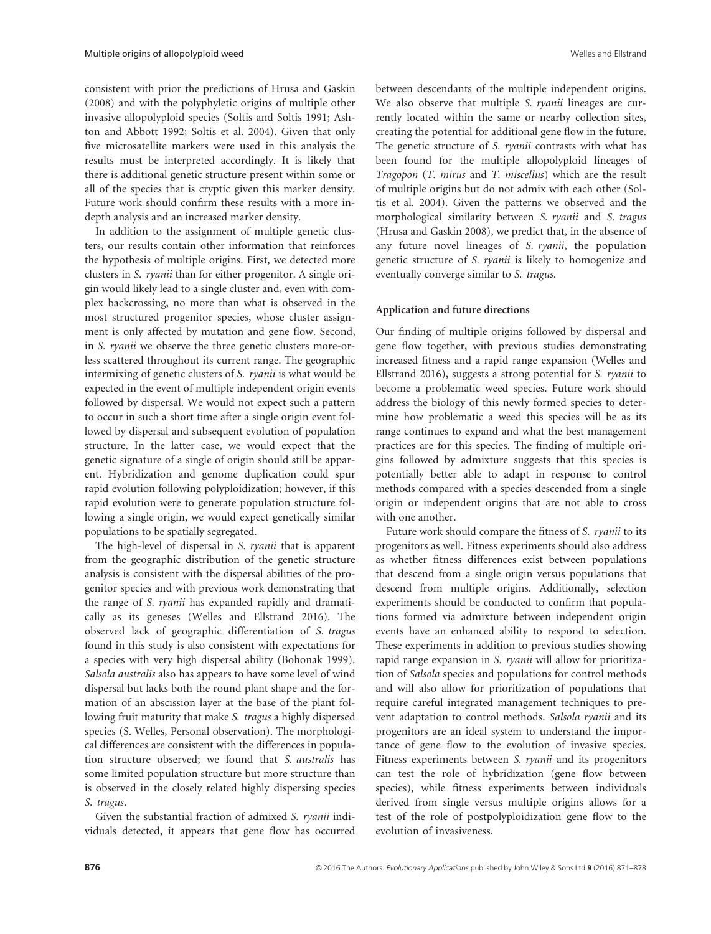consistent with prior the predictions of Hrusa and Gaskin (2008) and with the polyphyletic origins of multiple other invasive allopolyploid species (Soltis and Soltis 1991; Ashton and Abbott 1992; Soltis et al. 2004). Given that only five microsatellite markers were used in this analysis the results must be interpreted accordingly. It is likely that there is additional genetic structure present within some or all of the species that is cryptic given this marker density. Future work should confirm these results with a more indepth analysis and an increased marker density.

In addition to the assignment of multiple genetic clusters, our results contain other information that reinforces the hypothesis of multiple origins. First, we detected more clusters in S. ryanii than for either progenitor. A single origin would likely lead to a single cluster and, even with complex backcrossing, no more than what is observed in the most structured progenitor species, whose cluster assignment is only affected by mutation and gene flow. Second, in S. ryanii we observe the three genetic clusters more-orless scattered throughout its current range. The geographic intermixing of genetic clusters of S. ryanii is what would be expected in the event of multiple independent origin events followed by dispersal. We would not expect such a pattern to occur in such a short time after a single origin event followed by dispersal and subsequent evolution of population structure. In the latter case, we would expect that the genetic signature of a single of origin should still be apparent. Hybridization and genome duplication could spur rapid evolution following polyploidization; however, if this rapid evolution were to generate population structure following a single origin, we would expect genetically similar populations to be spatially segregated.

The high-level of dispersal in S. ryanii that is apparent from the geographic distribution of the genetic structure analysis is consistent with the dispersal abilities of the progenitor species and with previous work demonstrating that the range of S. ryanii has expanded rapidly and dramatically as its geneses (Welles and Ellstrand 2016). The observed lack of geographic differentiation of S. tragus found in this study is also consistent with expectations for a species with very high dispersal ability (Bohonak 1999). Salsola australis also has appears to have some level of wind dispersal but lacks both the round plant shape and the formation of an abscission layer at the base of the plant following fruit maturity that make S. tragus a highly dispersed species (S. Welles, Personal observation). The morphological differences are consistent with the differences in population structure observed; we found that S. australis has some limited population structure but more structure than is observed in the closely related highly dispersing species S. tragus.

Given the substantial fraction of admixed S. ryanii individuals detected, it appears that gene flow has occurred between descendants of the multiple independent origins. We also observe that multiple S. ryanii lineages are currently located within the same or nearby collection sites, creating the potential for additional gene flow in the future. The genetic structure of S. ryanii contrasts with what has been found for the multiple allopolyploid lineages of Tragopon (T. mirus and T. miscellus) which are the result of multiple origins but do not admix with each other (Soltis et al. 2004). Given the patterns we observed and the morphological similarity between S. ryanii and S. tragus (Hrusa and Gaskin 2008), we predict that, in the absence of any future novel lineages of S. ryanii, the population genetic structure of S. ryanii is likely to homogenize and eventually converge similar to S. tragus.

#### Application and future directions

Our finding of multiple origins followed by dispersal and gene flow together, with previous studies demonstrating increased fitness and a rapid range expansion (Welles and Ellstrand 2016), suggests a strong potential for S. ryanii to become a problematic weed species. Future work should address the biology of this newly formed species to determine how problematic a weed this species will be as its range continues to expand and what the best management practices are for this species. The finding of multiple origins followed by admixture suggests that this species is potentially better able to adapt in response to control methods compared with a species descended from a single origin or independent origins that are not able to cross with one another.

Future work should compare the fitness of S. ryanii to its progenitors as well. Fitness experiments should also address as whether fitness differences exist between populations that descend from a single origin versus populations that descend from multiple origins. Additionally, selection experiments should be conducted to confirm that populations formed via admixture between independent origin events have an enhanced ability to respond to selection. These experiments in addition to previous studies showing rapid range expansion in S. ryanii will allow for prioritization of Salsola species and populations for control methods and will also allow for prioritization of populations that require careful integrated management techniques to prevent adaptation to control methods. Salsola ryanii and its progenitors are an ideal system to understand the importance of gene flow to the evolution of invasive species. Fitness experiments between S. ryanii and its progenitors can test the role of hybridization (gene flow between species), while fitness experiments between individuals derived from single versus multiple origins allows for a test of the role of postpolyploidization gene flow to the evolution of invasiveness.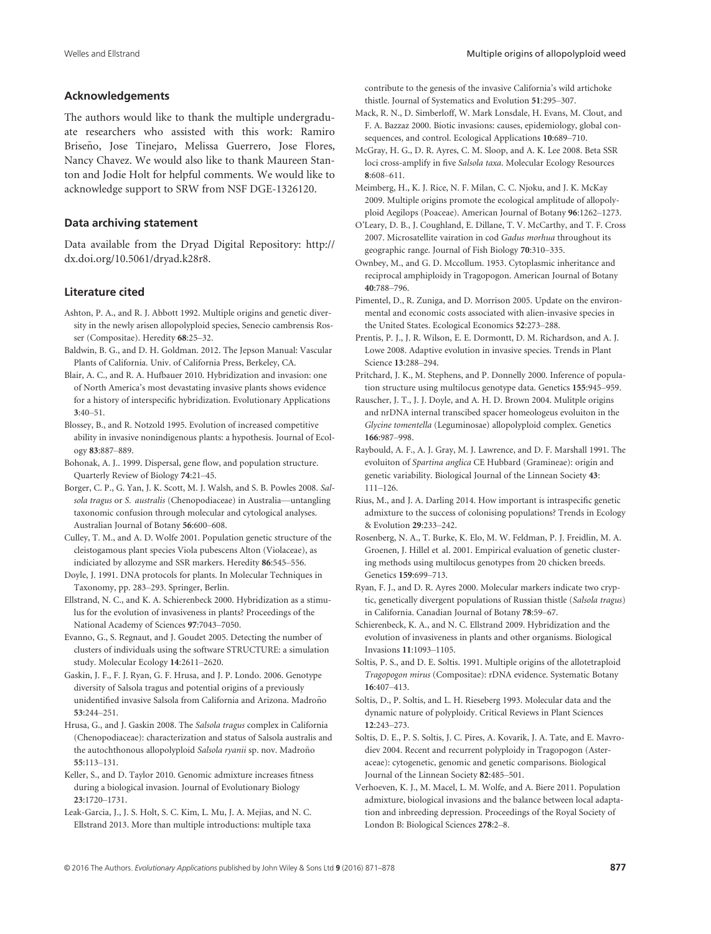## Acknowledgements

The authors would like to thank the multiple undergraduate researchers who assisted with this work: Ramiro Briseño, Jose Tinejaro, Melissa Guerrero, Jose Flores, Nancy Chavez. We would also like to thank Maureen Stanton and Jodie Holt for helpful comments. We would like to acknowledge support to SRW from NSF DGE-1326120.

#### Data archiving statement

Data available from the Dryad Digital Repository: [http://](http://dx.doi.org/10.5061/dryad.k28r8) [dx.doi.org/10.5061/dryad.k28r8](http://dx.doi.org/10.5061/dryad.k28r8).

#### Literature cited

- Ashton, P. A., and R. J. Abbott 1992. Multiple origins and genetic diversity in the newly arisen allopolyploid species, Senecio cambrensis Rosser (Compositae). Heredity 68:25–32.
- Baldwin, B. G., and D. H. Goldman. 2012. The Jepson Manual: Vascular Plants of California. Univ. of California Press, Berkeley, CA.
- Blair, A. C., and R. A. Hufbauer 2010. Hybridization and invasion: one of North America's most devastating invasive plants shows evidence for a history of interspecific hybridization. Evolutionary Applications 3:40–51.
- Blossey, B., and R. Notzold 1995. Evolution of increased competitive ability in invasive nonindigenous plants: a hypothesis. Journal of Ecology 83:887–889.
- Bohonak, A. J.. 1999. Dispersal, gene flow, and population structure. Quarterly Review of Biology 74:21–45.
- Borger, C. P., G. Yan, J. K. Scott, M. J. Walsh, and S. B. Powles 2008. Salsola tragus or S. australis (Chenopodiaceae) in Australia—untangling taxonomic confusion through molecular and cytological analyses. Australian Journal of Botany 56:600–608.
- Culley, T. M., and A. D. Wolfe 2001. Population genetic structure of the cleistogamous plant species Viola pubescens Alton (Violaceae), as indiciated by allozyme and SSR markers. Heredity 86:545–556.
- Doyle, J. 1991. DNA protocols for plants. In Molecular Techniques in Taxonomy, pp. 283–293. Springer, Berlin.
- Ellstrand, N. C., and K. A. Schierenbeck 2000. Hybridization as a stimulus for the evolution of invasiveness in plants? Proceedings of the National Academy of Sciences 97:7043–7050.
- Evanno, G., S. Regnaut, and J. Goudet 2005. Detecting the number of clusters of individuals using the software STRUCTURE: a simulation study. Molecular Ecology 14:2611–2620.
- Gaskin, J. F., F. J. Ryan, G. F. Hrusa, and J. P. Londo. 2006. Genotype diversity of Salsola tragus and potential origins of a previously unidentified invasive Salsola from California and Arizona. Madroño 53:244–251.
- Hrusa, G., and J. Gaskin 2008. The Salsola tragus complex in California (Chenopodiaceae): characterization and status of Salsola australis and the autochthonous allopolyploid Salsola ryanii sp. nov. Madroño 55:113–131.
- Keller, S., and D. Taylor 2010. Genomic admixture increases fitness during a biological invasion. Journal of Evolutionary Biology 23:1720–1731.
- Leak-Garcia, J., J. S. Holt, S. C. Kim, L. Mu, J. A. Mejias, and N. C. Ellstrand 2013. More than multiple introductions: multiple taxa

contribute to the genesis of the invasive California's wild artichoke thistle. Journal of Systematics and Evolution 51:295–307.

- Mack, R. N., D. Simberloff, W. Mark Lonsdale, H. Evans, M. Clout, and F. A. Bazzaz 2000. Biotic invasions: causes, epidemiology, global consequences, and control. Ecological Applications 10:689–710.
- McGray, H. G., D. R. Ayres, C. M. Sloop, and A. K. Lee 2008. Beta SSR loci cross-amplify in five Salsola taxa. Molecular Ecology Resources 8:608–611.
- Meimberg, H., K. J. Rice, N. F. Milan, C. C. Njoku, and J. K. McKay 2009. Multiple origins promote the ecological amplitude of allopolyploid Aegilops (Poaceae). American Journal of Botany 96:1262–1273.
- O'Leary, D. B., J. Coughland, E. Dillane, T. V. McCarthy, and T. F. Cross 2007. Microsatellite vairation in cod Gadus morhua throughout its geographic range. Journal of Fish Biology 70:310–335.
- Ownbey, M., and G. D. Mccollum. 1953. Cytoplasmic inheritance and reciprocal amphiploidy in Tragopogon. American Journal of Botany 40:788–796.
- Pimentel, D., R. Zuniga, and D. Morrison 2005. Update on the environmental and economic costs associated with alien-invasive species in the United States. Ecological Economics 52:273–288.
- Prentis, P. J., J. R. Wilson, E. E. Dormontt, D. M. Richardson, and A. J. Lowe 2008. Adaptive evolution in invasive species. Trends in Plant Science 13:288–294.
- Pritchard, J. K., M. Stephens, and P. Donnelly 2000. Inference of population structure using multilocus genotype data. Genetics 155:945–959.
- Rauscher, J. T., J. J. Doyle, and A. H. D. Brown 2004. Mulitple origins and nrDNA internal transcibed spacer homeologeus evoluiton in the Glycine tomentella (Leguminosae) allopolyploid complex. Genetics 166:987–998.
- Raybould, A. F., A. J. Gray, M. J. Lawrence, and D. F. Marshall 1991. The evoluiton of Spartina anglica CE Hubbard (Gramineae): origin and genetic variability. Biological Journal of the Linnean Society 43: 111–126.
- Rius, M., and J. A. Darling 2014. How important is intraspecific genetic admixture to the success of colonising populations? Trends in Ecology & Evolution 29:233–242.
- Rosenberg, N. A., T. Burke, K. Elo, M. W. Feldman, P. J. Freidlin, M. A. Groenen, J. Hillel et al. 2001. Empirical evaluation of genetic clustering methods using multilocus genotypes from 20 chicken breeds. Genetics 159:699–713.
- Ryan, F. J., and D. R. Ayres 2000. Molecular markers indicate two cryptic, genetically divergent populations of Russian thistle (Salsola tragus) in California. Canadian Journal of Botany 78:59–67.
- Schierenbeck, K. A., and N. C. Ellstrand 2009. Hybridization and the evolution of invasiveness in plants and other organisms. Biological Invasions 11:1093–1105.
- Soltis, P. S., and D. E. Soltis. 1991. Multiple origins of the allotetraploid Tragopogon mirus (Compositae): rDNA evidence. Systematic Botany 16:407–413.
- Soltis, D., P. Soltis, and L. H. Rieseberg 1993. Molecular data and the dynamic nature of polyploidy. Critical Reviews in Plant Sciences 12:243–273.
- Soltis, D. E., P. S. Soltis, J. C. Pires, A. Kovarik, J. A. Tate, and E. Mavrodiev 2004. Recent and recurrent polyploidy in Tragopogon (Asteraceae): cytogenetic, genomic and genetic comparisons. Biological Journal of the Linnean Society 82:485–501.
- Verhoeven, K. J., M. Macel, L. M. Wolfe, and A. Biere 2011. Population admixture, biological invasions and the balance between local adaptation and inbreeding depression. Proceedings of the Royal Society of London B: Biological Sciences 278:2–8.